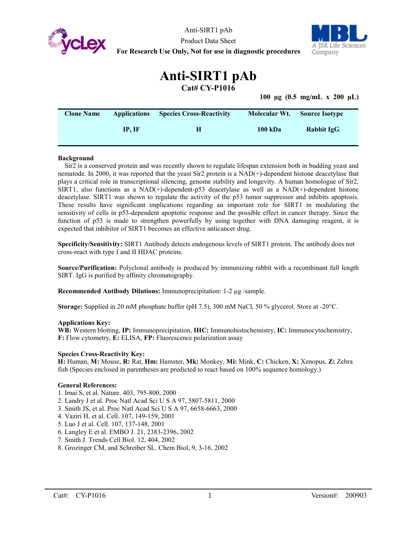

Anti-SIRT1 pAb Product Data Sheet **For Research Use Only, Not for use in diagnostic procedures**



# **Anti-SIRT1 pAb**

**Cat# CY-P1016**

**100 µg (0.5 mg/mL x 200 µL)**

| <b>Clone Name</b> | <b>Applications</b> | <b>Species Cross-Reactivity</b> | Molecular Wt. | <b>Source Isotype</b> |
|-------------------|---------------------|---------------------------------|---------------|-----------------------|
|                   | IP. IF              | н                               | 100 kDa       | Rabbit IgG            |

## **Background**

Sir2 is a conserved protein and was recently shown to regulate lifespan extension both in budding yeast and nematode. In 2000, it was reported that the yeast Sir2 protein is a NAD(+)-dependent histone deacetylase that plays a critical role in transcriptional silencing, genome stability and longevity. A human homologue of Sir2, SIRT1, also functions as a NAD(+)-dependent-p53 deacetylase as well as a NAD(+)-dependent histone deacetylase. SIRT1 was shown to regulate the activity of the p53 tumor suppressor and inhibits apoptosis. These results have significant implications regarding an important role for SIRT1 in modulating the sensitivity of cells in p53-dependent apoptotic response and the possible effect in cancer therapy. Since the function of p53 is made to strengthen powerfully by using together with DNA damaging reagent, it is expected that inhibitor of SIRT1 becomes an effective anticancer drug.

**Specificity/Sensitivity:** SIRT1 Antibody detects endogenous levels of SIRT1 protein. The antibody does not cross-react with type I and II HDAC proteins.

**Source/Purification:** Polyclonal antibody is produced by immunizing rabbit with a recombinant full length SIRT. IgG is purified by affinity chromatography.

**Recommended Antibody Dilutions:** Immunoprecipitation: 1-2 µg /sample.

**Storage:** Supplied in 20 mM phosphate buffer (pH 7.5), 300 mM NaCl, 50 % glycerol. Store at -20°C.

### **Applications Key:**

**WB:** Western blotting, **IP:** Immunoprecipitation, **IHC:** Immunohistochemistry, **IC:** Immunocytochemistry, **F:** Flow cytometry, **E:** ELISA, **FP:** Fluorescence polarization assay

## **Species Cross-Reactivity Key:**

**H:** Human, **M:** Mouse, **R:** Rat, **Hm:** Hamster, **Mk:** Monkey, **Mi:** Mink, **C:** Chicken, **X:** Xenopus, **Z:** Zebra fish (Species enclosed in parentheses are predicted to react based on 100% sequence homology.)

### **General References:**

- 1. Imai S, et al. Nature. 403, 795-800, 2000
- 2. Landry J et al. Proc Natl Acad Sci U S A 97, 5807-5811, 2000
- 3. Smith JS, et al. Proc Natl Acad Sci U S A 97, 6658-6663, 2000
- 4. Vaziri H, et al. Cell. 107, 149-159, 2001
- 5. Luo J et al. Cell. 107, 137-148, 2001
- 6. Langley E et al. EMBO J. 21, 2383-2396, 2002
- 7. Smith J. Trends Cell Biol. 12, 404, 2002
- 8. Grozinger CM, and Schreiber SL. Chem Biol, 9, 3-16, 2002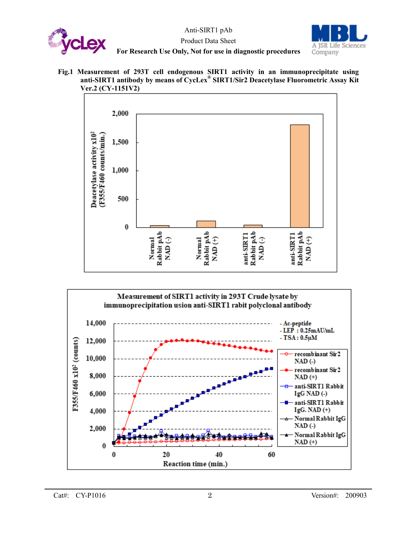







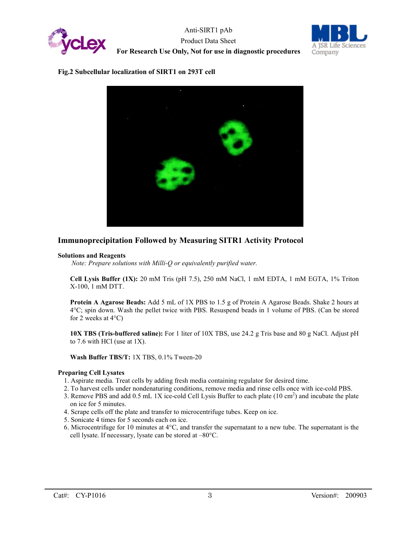



## **Fig.2 Subcellular localization of SIRT1 on 293T cell**



# **Immunoprecipitation Followed by Measuring SITR1 Activity Protocol**

## **Solutions and Reagents**

*Note: Prepare solutions with Milli-Q or equivalently purified water.*

**Cell Lysis Buffer (1X):** 20 mM Tris (pH 7.5), 250 mM NaCl, 1 mM EDTA, 1 mM EGTA, 1% Triton X-100, 1 mM DTT.

**Protein A Agarose Beads:** Add 5 mL of 1X PBS to 1.5 g of Protein A Agarose Beads. Shake 2 hours at 4°C; spin down. Wash the pellet twice with PBS. Resuspend beads in 1 volume of PBS. (Can be stored for 2 weeks at  $4^{\circ}$ C)

**10X TBS (Tris-buffered saline):** For 1 liter of 10X TBS, use 24.2 g Tris base and 80 g NaCl. Adjust pH to 7.6 with HCl (use at 1X).

**Wash Buffer TBS/T:** 1X TBS, 0.1% Tween-20

## **Preparing Cell Lysates**

- 1. Aspirate media. Treat cells by adding fresh media containing regulator for desired time.
- 2. To harvest cells under nondenaturing conditions, remove media and rinse cells once with ice-cold PBS.
- 3. Remove PBS and add  $0.5$  mL 1X ice-cold Cell Lysis Buffer to each plate (10 cm<sup>2</sup>) and incubate the plate on ice for 5 minutes.
- 4. Scrape cells off the plate and transfer to microcentrifuge tubes. Keep on ice.
- 5. Sonicate 4 times for 5 seconds each on ice.
- 6. Microcentrifuge for 10 minutes at 4°C, and transfer the supernatant to a new tube. The supernatant is the cell lysate. If necessary, lysate can be stored at –80°C.